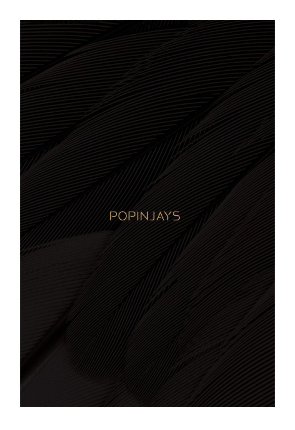## **POPINJAYS**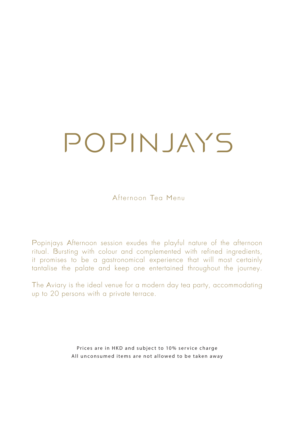# POPINJAYS

Afternoon Tea Menu

Popinjays Afternoon session exudes the playful nature of the afternoon ritual. Bursting with colour and complemented with refined ingredients, it promises to be a gastronomical experience that will most certainly tantalise the palate and keep one entertained throughout the journey.

The Aviary is the ideal venue for a modern day tea party, accommodating up to 20 persons with a private terrace.

> Prices are in HKD and subject to 10% service charge All unconsumed items are not allowed to be taken away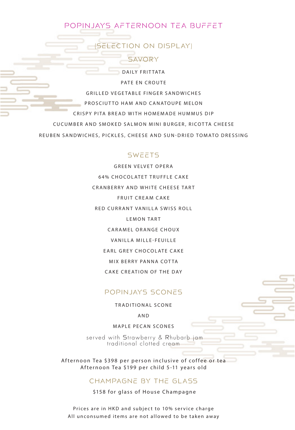### POPINJAYS AFTERNOON TEA BUFFET

(SELECTION ON DISPLAY)

SAVORY DAILY FRITTATA PATE EN CROUTE GRILLED VEGETABLE FINGER SANDWICHES PROSCIUTTO HAM AND CANATOUPE MELON CRISPY PITA BREAD WITH HOMEMADE HUMMUS DIP CUCUMBER AND SMOKED SALMON MINI BURGER, RICOTTA CHEESE REUBEN SANDWICHES, PICKLES, CHEESE AND SUN-DRIED TOMATO DRESSING

#### SWEETS

GREEN VELVET OPERA 64% CHOCOLATET TRUFFLE CAKE CRANBERRY AND WHITE CHEESE TART FRUIT CREAM CAKE RED CURRANT VANILLA SWISS ROLL LEMON TART CARAMEL ORANGE CHOUX VANILLA MILLE-FEUILLE EARL GREY CHOCOLATE CAKE MIX BERRY PANNA COTTA CAKE CREATION OF THE DAY

#### POPINJAYS SCONES

TRADITIONAL SCONE

A N D

MAPLE PECAN SCONES

served with Strawberry & Rhubarb jam traditional clotted cream

Afternoon Tea \$398 per person inclusive of coffee or tea Afternoon Tea \$199 per child 5-11 years old

#### CHAMPAGNE BY THE GLASS

\$158 for glass of House Champagne

Prices are in HKD and subject to 10% service charge All unconsumed items are not allowed to be taken away